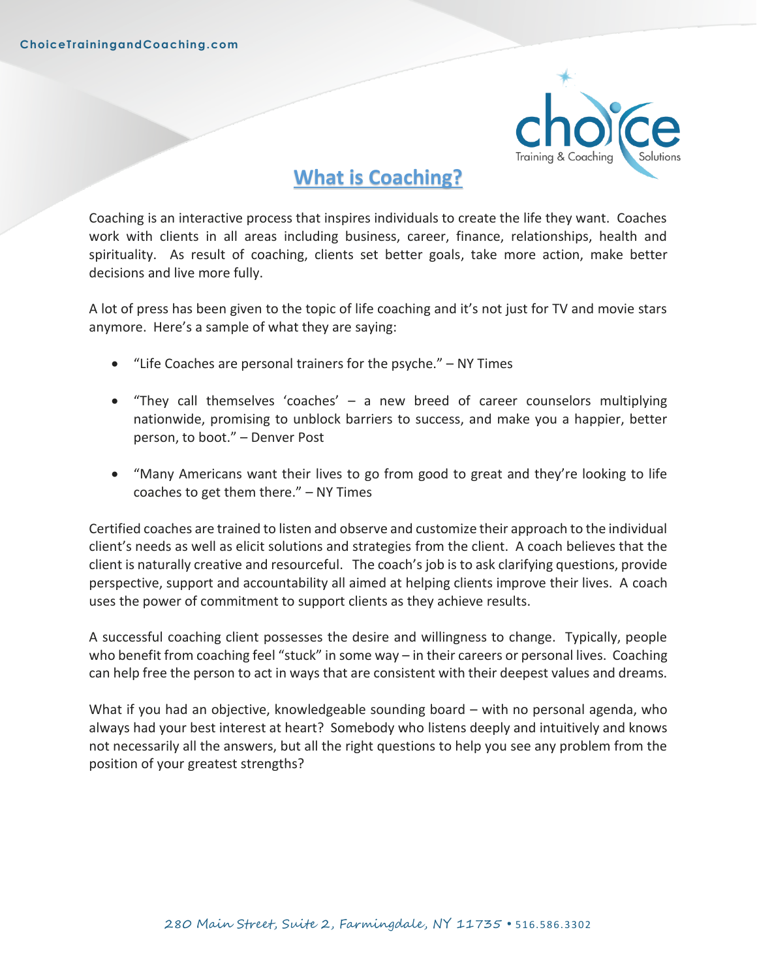

# **What is Coaching?**

Coaching is an interactive process that inspires individuals to create the life they want. Coaches work with clients in all areas including business, career, finance, relationships, health and spirituality. As result of coaching, clients set better goals, take more action, make better decisions and live more fully.

A lot of press has been given to the topic of life coaching and it's not just for TV and movie stars anymore. Here's a sample of what they are saying:

- "Life Coaches are personal trainers for the psyche." NY Times
- "They call themselves 'coaches' a new breed of career counselors multiplying nationwide, promising to unblock barriers to success, and make you a happier, better person, to boot." – Denver Post
- "Many Americans want their lives to go from good to great and they're looking to life coaches to get them there." – NY Times

Certified coaches are trained to listen and observe and customize their approach to the individual client's needs as well as elicit solutions and strategies from the client. A coach believes that the client is naturally creative and resourceful. The coach's job is to ask clarifying questions, provide perspective, support and accountability all aimed at helping clients improve their lives. A coach uses the power of commitment to support clients as they achieve results.

A successful coaching client possesses the desire and willingness to change. Typically, people who benefit from coaching feel "stuck" in some way – in their careers or personal lives. Coaching can help free the person to act in ways that are consistent with their deepest values and dreams.

What if you had an objective, knowledgeable sounding board – with no personal agenda, who always had your best interest at heart? Somebody who listens deeply and intuitively and knows not necessarily all the answers, but all the right questions to help you see any problem from the position of your greatest strengths?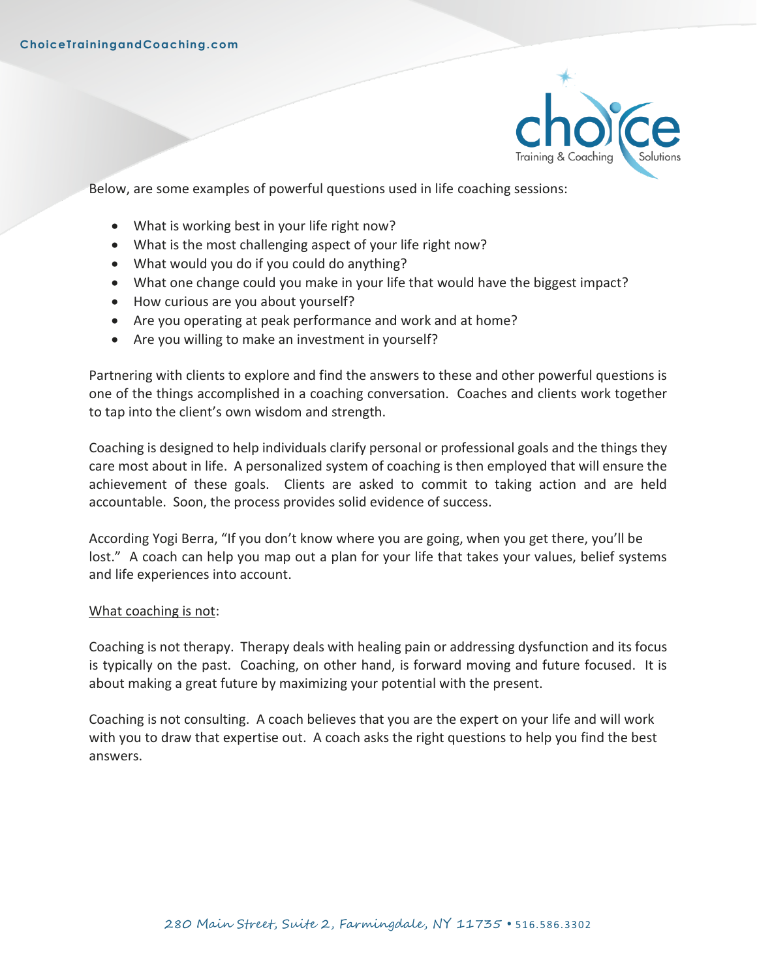

Below, are some examples of powerful questions used in life coaching sessions:

- What is working best in your life right now?
- What is the most challenging aspect of your life right now?
- What would you do if you could do anything?
- What one change could you make in your life that would have the biggest impact?
- How curious are you about yourself?
- Are you operating at peak performance and work and at home?
- Are you willing to make an investment in yourself?

Partnering with clients to explore and find the answers to these and other powerful questions is one of the things accomplished in a coaching conversation. Coaches and clients work together to tap into the client's own wisdom and strength.

Coaching is designed to help individuals clarify personal or professional goals and the things they care most about in life. A personalized system of coaching is then employed that will ensure the achievement of these goals. Clients are asked to commit to taking action and are held accountable. Soon, the process provides solid evidence of success.

According Yogi Berra, "If you don't know where you are going, when you get there, you'll be lost." A coach can help you map out a plan for your life that takes your values, belief systems and life experiences into account.

### What coaching is not:

Coaching is not therapy. Therapy deals with healing pain or addressing dysfunction and its focus is typically on the past. Coaching, on other hand, is forward moving and future focused. It is about making a great future by maximizing your potential with the present.

Coaching is not consulting. A coach believes that you are the expert on your life and will work with you to draw that expertise out. A coach asks the right questions to help you find the best answers.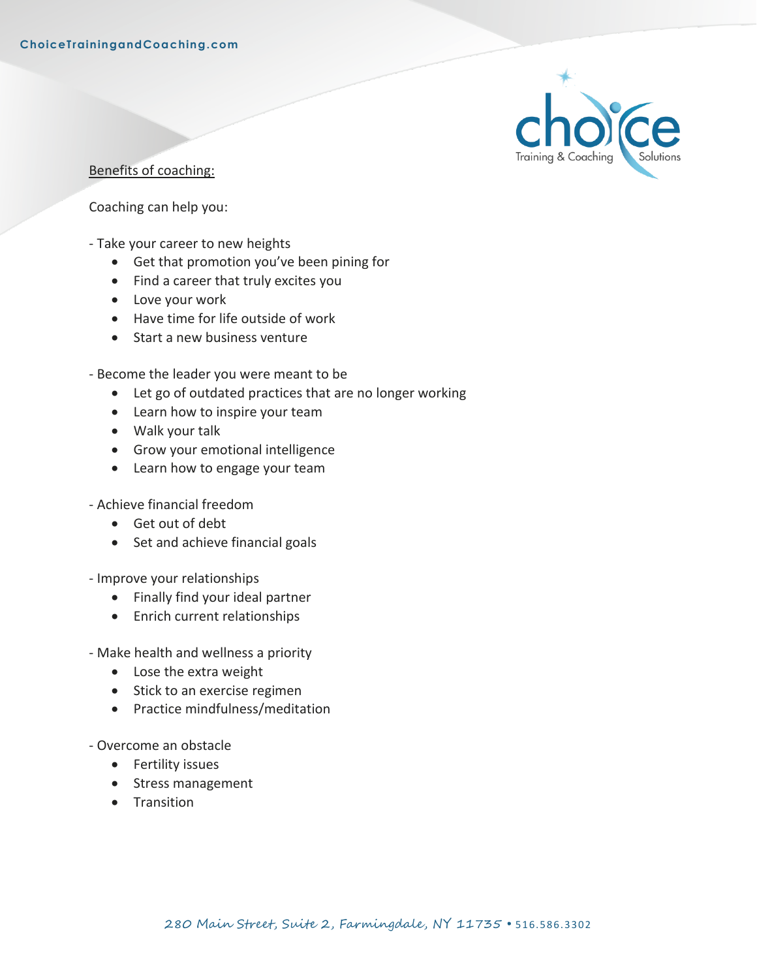

Benefits of coaching:

Coaching can help you:

- Take your career to new heights
	- Get that promotion you've been pining for
	- Find a career that truly excites you
	- Love your work
	- Have time for life outside of work
	- Start a new business venture
- Become the leader you were meant to be
	- Let go of outdated practices that are no longer working
	- Learn how to inspire your team
	- Walk your talk
	- Grow your emotional intelligence
	- Learn how to engage your team
- Achieve financial freedom
	- Get out of debt
	- Set and achieve financial goals
- Improve your relationships
	- Finally find your ideal partner
	- Enrich current relationships
- Make health and wellness a priority
	- Lose the extra weight
	- Stick to an exercise regimen
	- Practice mindfulness/meditation
- Overcome an obstacle
	- Fertility issues
	- Stress management
	- Transition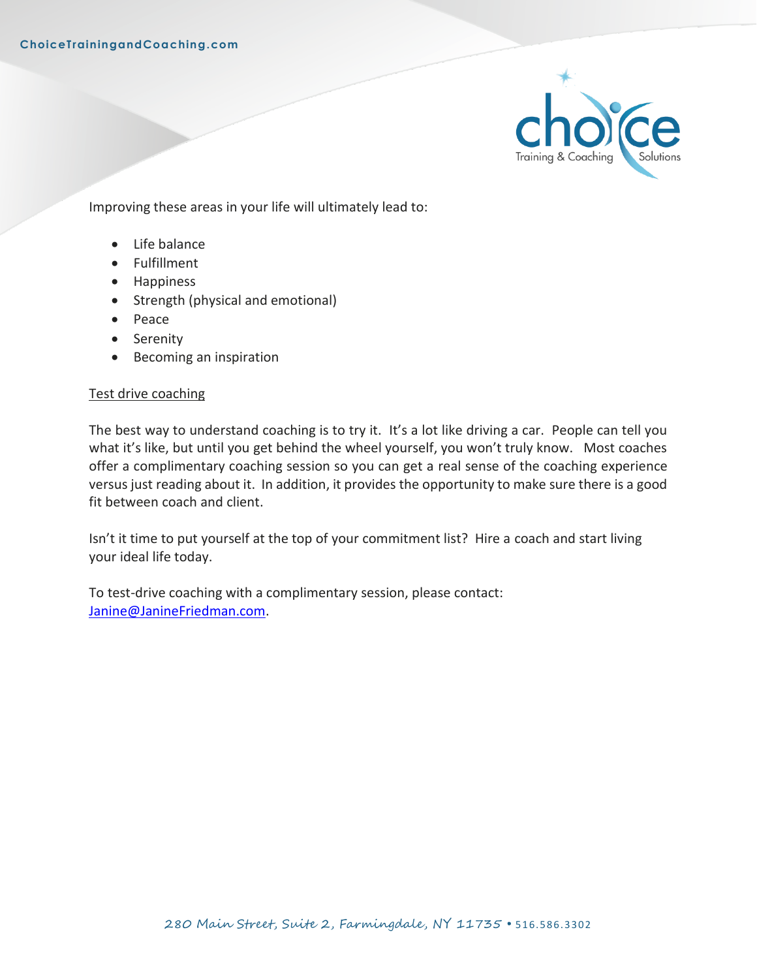

Improving these areas in your life will ultimately lead to:

- Life balance
- Fulfillment
- Happiness
- Strength (physical and emotional)
- Peace
- Serenity
- Becoming an inspiration

### Test drive coaching

The best way to understand coaching is to try it. It's a lot like driving a car. People can tell you what it's like, but until you get behind the wheel yourself, you won't truly know. Most coaches offer a complimentary coaching session so you can get a real sense of the coaching experience versus just reading about it. In addition, it provides the opportunity to make sure there is a good fit between coach and client.

Isn't it time to put yourself at the top of your commitment list? Hire a coach and start living your ideal life today.

To test-drive coaching with a complimentary session, please contact: [Janine@JanineFriedman.com.](mailto:Janine@JanineFriedman.com)